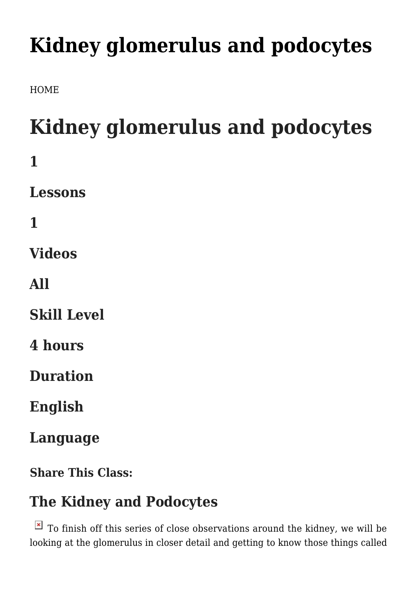## **[Kidney glomerulus and podocytes](https://franscienceart.com/kidney-glomerulus-and-podocytes/)**

[HOME](https://franscienceart.com/)

# **Kidney glomerulus and podocytes**

- **1 Lessons 1 Videos**
- **All**
- **Skill Level**
- **4 hours**

**Duration**

**English**

**Language**

**Share This Class:**

### **The Kidney and Podocytes**

 $\overline{\bullet}$  To finish off this series of close observations around the kidney, we will be looking at the glomerulus in closer detail and getting to know those things called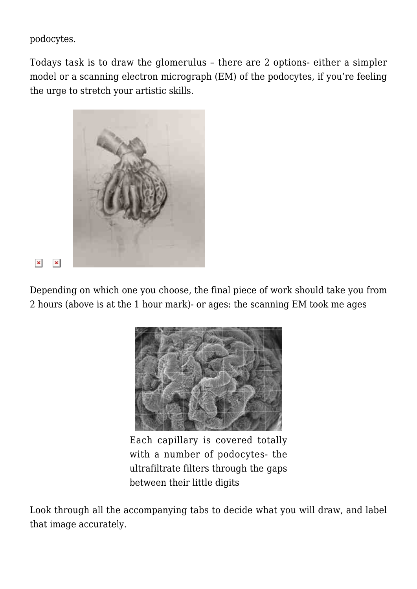podocytes.

Todays task is to draw the glomerulus – there are 2 options- either a simpler model or a scanning electron micrograph (EM) of the podocytes, if you're feeling the urge to stretch your artistic skills.



 $\pmb{\times}$  $\pmb{\times}$ 

Depending on which one you choose, the final piece of work should take you from 2 hours (above is at the 1 hour mark)- or ages: the scanning EM took me ages



Each capillary is covered totally with a number of podocytes- the ultrafiltrate filters through the gaps between their little digits

Look through all the accompanying tabs to decide what you will draw, and label that image accurately.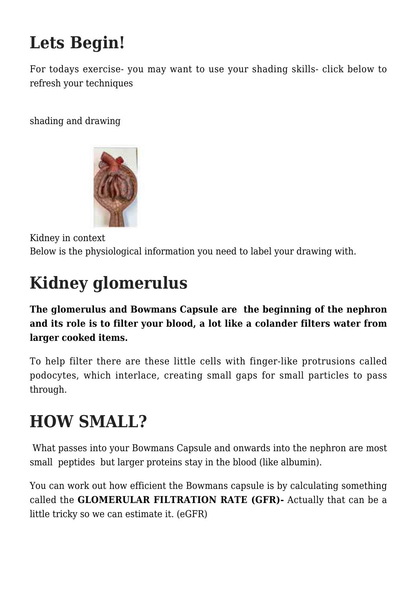## **Lets Begin!**

For todays exercise- you may want to use your shading skills- click below to refresh your techniques

[shading and drawing](https://franscienceart.com/art-in-your-heart-learn-how-to-draw/)



Kidney in context Below is the physiological information you need to label your drawing with.

## **Kidney glomerulus**

**The glomerulus and Bowmans Capsule are the beginning of the nephron and its role is to filter your blood, a lot like a colander filters water from larger cooked items.** 

To help filter there are these little cells with finger-like protrusions called podocytes, which interlace, creating small gaps for small particles to pass through.

### **HOW SMALL?**

 What passes into your Bowmans Capsule and onwards into the nephron are most small peptides but larger proteins stay in the blood (like albumin).

You can work out how efficient the Bowmans capsule is by calculating something called the **GLOMERULAR FILTRATION RATE (GFR)-** Actually that can be a little tricky so we can estimate it. (eGFR)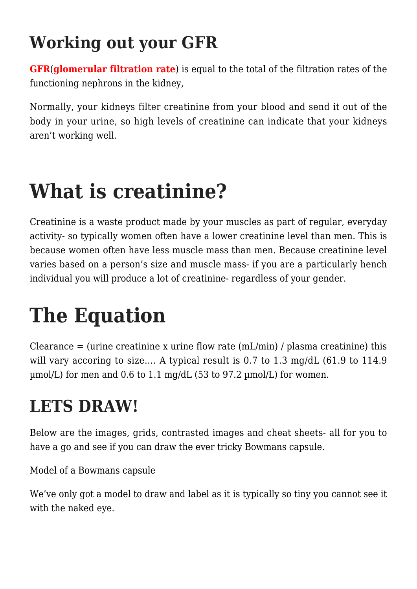## **Working out your GFR**

**GFR**(**glomerular filtration rate**) is equal to the total of the filtration rates of the functioning nephrons in the kidney,

Normally, your kidneys filter creatinine from your blood and send it out of the body in your urine, so high levels of creatinine can indicate that your kidneys aren't working well.

## **What is creatinine?**

Creatinine is a waste product made by your muscles as part of regular, everyday activity- so typically women often have a lower creatinine level than men. This is because women often have less muscle mass than men. Because creatinine level varies based on a person's size and muscle mass- if you are a particularly hench individual you will produce a lot of creatinine- regardless of your gender.

## **The Equation**

Clearance  $=$  (urine creatinine x urine flow rate (mL/min) / plasma creatinine) this will vary accoring to size.... A typical result is 0.7 to 1.3 mg/dL (61.9 to 114.9) µmol/L) for men and 0.6 to 1.1 mg/dL (53 to 97.2 µmol/L) for women.

## **LETS DRAW!**

Below are the images, grids, contrasted images and cheat sheets- all for you to have a go and see if you can draw the ever tricky Bowmans capsule.

Model of a Bowmans capsule

We've only got a model to draw and label as it is typically so tiny you cannot see it with the naked eye.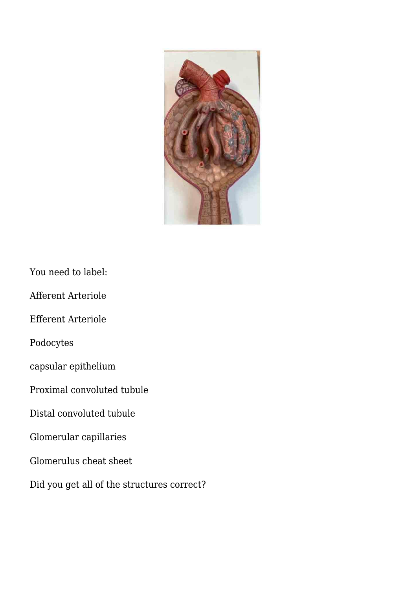

You need to label:

Afferent Arteriole

Efferent Arteriole

Podocytes

capsular epithelium

Proximal convoluted tubule

Distal convoluted tubule

Glomerular capillaries

Glomerulus cheat sheet

Did you get all of the structures correct?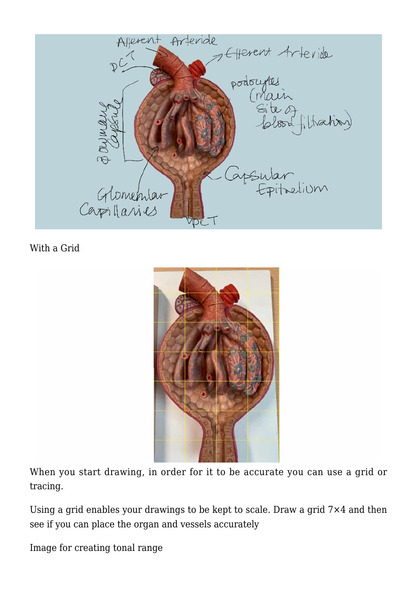

With a Grid



When you start drawing, in order for it to be accurate you can use a grid or tracing.

Using a grid enables your drawings to be kept to scale. Draw a grid 7×4 and then see if you can place the organ and vessels accurately

Image for creating tonal range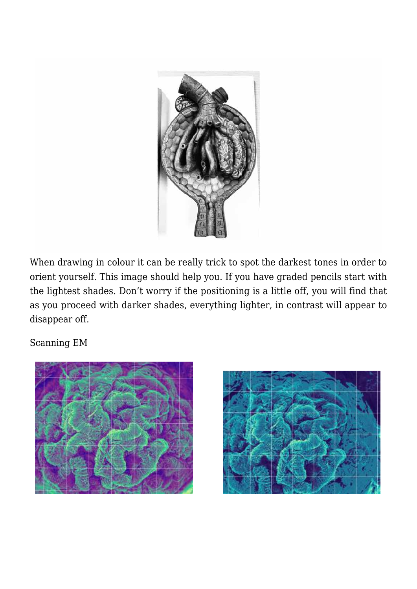

When drawing in colour it can be really trick to spot the darkest tones in order to orient yourself. This image should help you. If you have graded pencils start with the lightest shades. Don't worry if the positioning is a little off, you will find that as you proceed with darker shades, everything lighter, in contrast will appear to disappear off.

Scanning EM



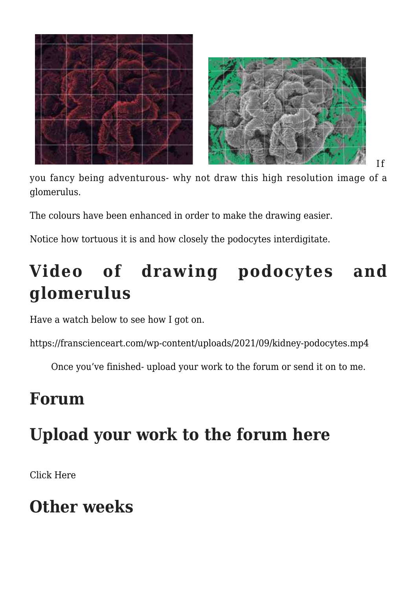

you fancy being adventurous- why not draw this high resolution image of a glomerulus.

If

The colours have been enhanced in order to make the drawing easier.

Notice how tortuous it is and how closely the podocytes interdigitate.

## **Video of drawing podocytes and glomerulus**

Have a watch below to see how I got on.

https://franscienceart.com/wp-content/uploads/2021/09/kidney-podocytes.mp4

Once you've finished- upload your work to the forum or send it on to me.

#### **Forum**

### **Upload your work to the forum here**

[Click Here](https://franscienceart.com/forums/forum/art-in-your-heart/)

### **Other weeks**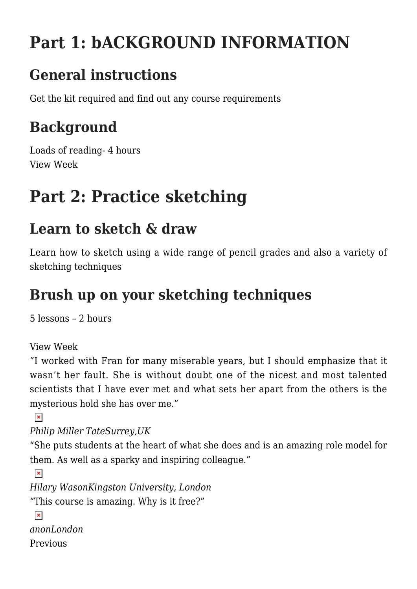## **Part 1: bACKGROUND INFORMATION**

### **General instructions**

[Get the kit required and find out any course requirements](https://franscienceart.com/the-art-in-your-heart/)

#### **Background**

Loads of reading- 4 hours View Week

## **Part 2: Practice sketching**

#### **Learn to sketch & draw**

Learn how to sketch using a wide range of pencil grades and also a variety of sketching techniques

#### **Brush up on your sketching techniques**

5 lessons – 2 hours

View Week

"I worked with Fran for many miserable years, but I should emphasize that it wasn't her fault. She is without doubt one of the nicest and most talented scientists that I have ever met and what sets her apart from the others is the mysterious hold she has over me."

 $\pmb{\times}$ 

*Philip Miller TateSurrey,UK*

"She puts students at the heart of what she does and is an amazing role model for them. As well as a sparky and inspiring colleague."

```
\pmb{\times}Hilary WasonKingston University, London
"This course is amazing. Why is it free?"
 \pmb{\times}anonLondon
Previous
```